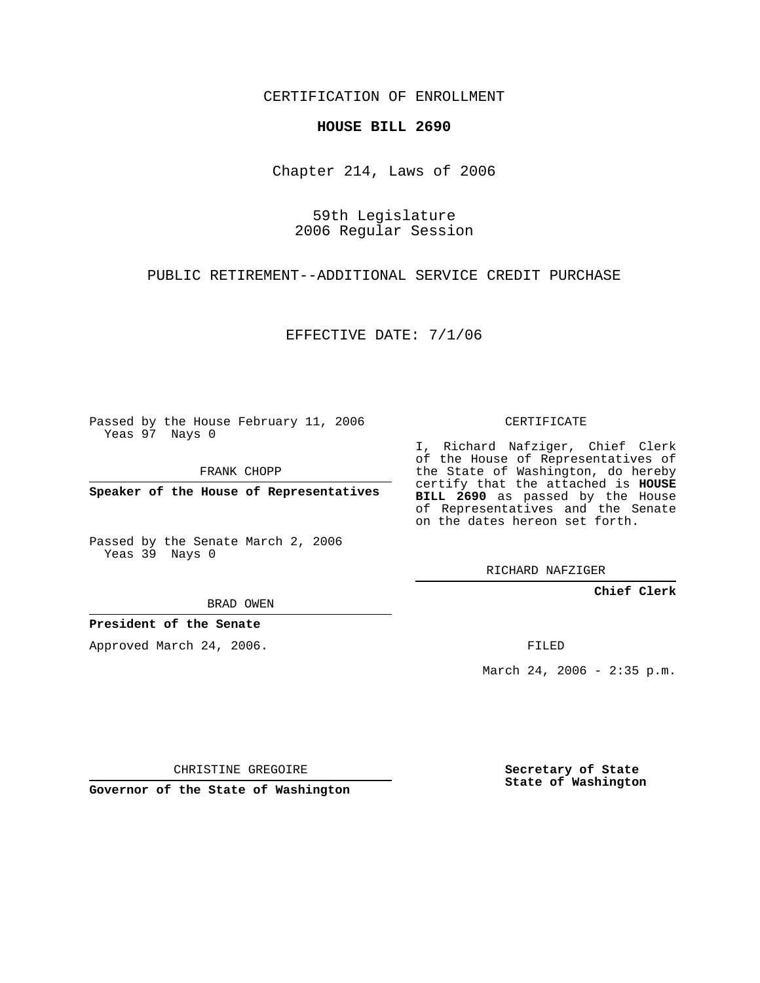CERTIFICATION OF ENROLLMENT

## **HOUSE BILL 2690**

Chapter 214, Laws of 2006

59th Legislature 2006 Regular Session

PUBLIC RETIREMENT--ADDITIONAL SERVICE CREDIT PURCHASE

EFFECTIVE DATE: 7/1/06

Passed by the House February 11, 2006 Yeas 97 Nays 0

FRANK CHOPP

**Speaker of the House of Representatives**

Passed by the Senate March 2, 2006 Yeas 39 Nays 0

BRAD OWEN

**President of the Senate**

Approved March 24, 2006.

CERTIFICATE

I, Richard Nafziger, Chief Clerk of the House of Representatives of the State of Washington, do hereby certify that the attached is **HOUSE BILL 2690** as passed by the House of Representatives and the Senate on the dates hereon set forth.

RICHARD NAFZIGER

**Chief Clerk**

FILED

March 24, 2006 - 2:35 p.m.

CHRISTINE GREGOIRE

**Governor of the State of Washington**

**Secretary of State State of Washington**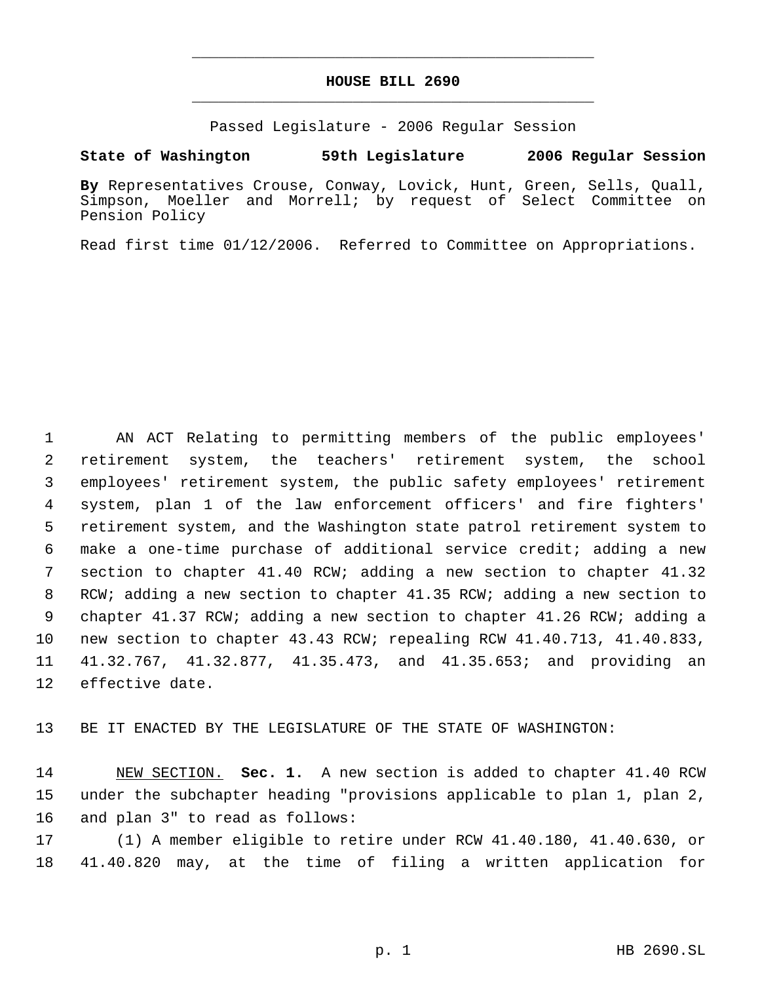## **HOUSE BILL 2690** \_\_\_\_\_\_\_\_\_\_\_\_\_\_\_\_\_\_\_\_\_\_\_\_\_\_\_\_\_\_\_\_\_\_\_\_\_\_\_\_\_\_\_\_\_

\_\_\_\_\_\_\_\_\_\_\_\_\_\_\_\_\_\_\_\_\_\_\_\_\_\_\_\_\_\_\_\_\_\_\_\_\_\_\_\_\_\_\_\_\_

Passed Legislature - 2006 Regular Session

## **State of Washington 59th Legislature 2006 Regular Session**

**By** Representatives Crouse, Conway, Lovick, Hunt, Green, Sells, Quall, Simpson, Moeller and Morrell; by request of Select Committee on Pension Policy

Read first time 01/12/2006. Referred to Committee on Appropriations.

 AN ACT Relating to permitting members of the public employees' retirement system, the teachers' retirement system, the school employees' retirement system, the public safety employees' retirement system, plan 1 of the law enforcement officers' and fire fighters' retirement system, and the Washington state patrol retirement system to make a one-time purchase of additional service credit; adding a new section to chapter 41.40 RCW; adding a new section to chapter 41.32 RCW; adding a new section to chapter 41.35 RCW; adding a new section to chapter 41.37 RCW; adding a new section to chapter 41.26 RCW; adding a new section to chapter 43.43 RCW; repealing RCW 41.40.713, 41.40.833, 41.32.767, 41.32.877, 41.35.473, and 41.35.653; and providing an effective date.

BE IT ENACTED BY THE LEGISLATURE OF THE STATE OF WASHINGTON:

 NEW SECTION. **Sec. 1.** A new section is added to chapter 41.40 RCW under the subchapter heading "provisions applicable to plan 1, plan 2, and plan 3" to read as follows:

 (1) A member eligible to retire under RCW 41.40.180, 41.40.630, or 41.40.820 may, at the time of filing a written application for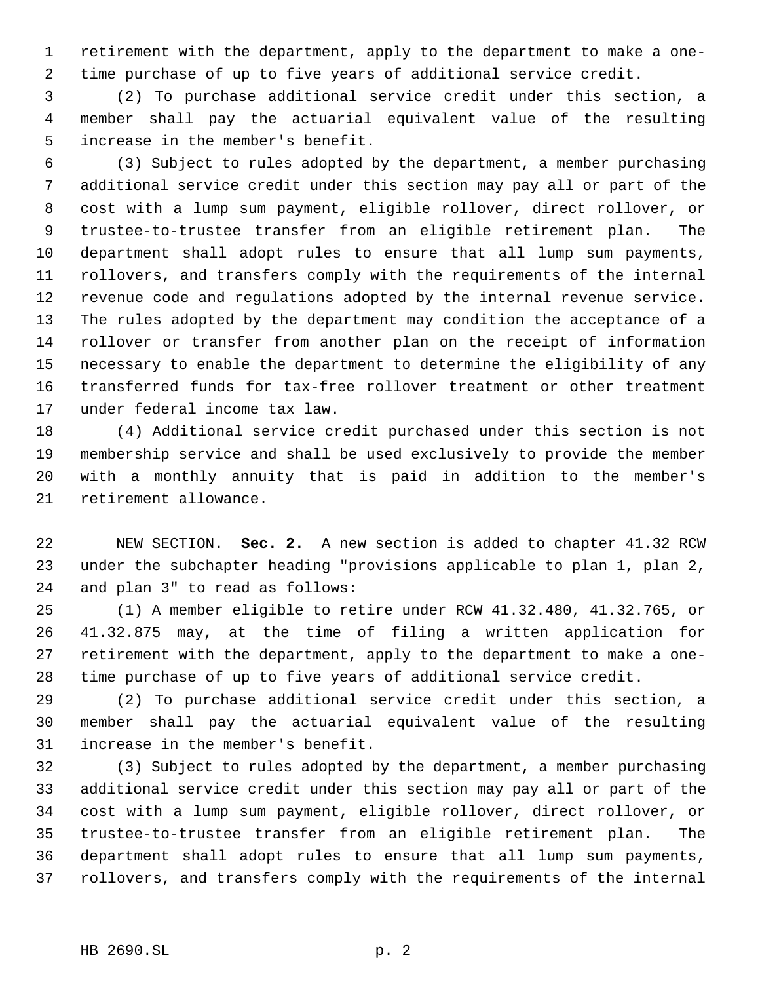retirement with the department, apply to the department to make a one- time purchase of up to five years of additional service credit.

 (2) To purchase additional service credit under this section, a member shall pay the actuarial equivalent value of the resulting increase in the member's benefit.

 (3) Subject to rules adopted by the department, a member purchasing additional service credit under this section may pay all or part of the cost with a lump sum payment, eligible rollover, direct rollover, or trustee-to-trustee transfer from an eligible retirement plan. The department shall adopt rules to ensure that all lump sum payments, rollovers, and transfers comply with the requirements of the internal revenue code and regulations adopted by the internal revenue service. The rules adopted by the department may condition the acceptance of a rollover or transfer from another plan on the receipt of information necessary to enable the department to determine the eligibility of any transferred funds for tax-free rollover treatment or other treatment under federal income tax law.

 (4) Additional service credit purchased under this section is not membership service and shall be used exclusively to provide the member with a monthly annuity that is paid in addition to the member's retirement allowance.

 NEW SECTION. **Sec. 2.** A new section is added to chapter 41.32 RCW under the subchapter heading "provisions applicable to plan 1, plan 2, and plan 3" to read as follows:

 (1) A member eligible to retire under RCW 41.32.480, 41.32.765, or 41.32.875 may, at the time of filing a written application for retirement with the department, apply to the department to make a one-time purchase of up to five years of additional service credit.

 (2) To purchase additional service credit under this section, a member shall pay the actuarial equivalent value of the resulting increase in the member's benefit.

 (3) Subject to rules adopted by the department, a member purchasing additional service credit under this section may pay all or part of the cost with a lump sum payment, eligible rollover, direct rollover, or trustee-to-trustee transfer from an eligible retirement plan. The department shall adopt rules to ensure that all lump sum payments, rollovers, and transfers comply with the requirements of the internal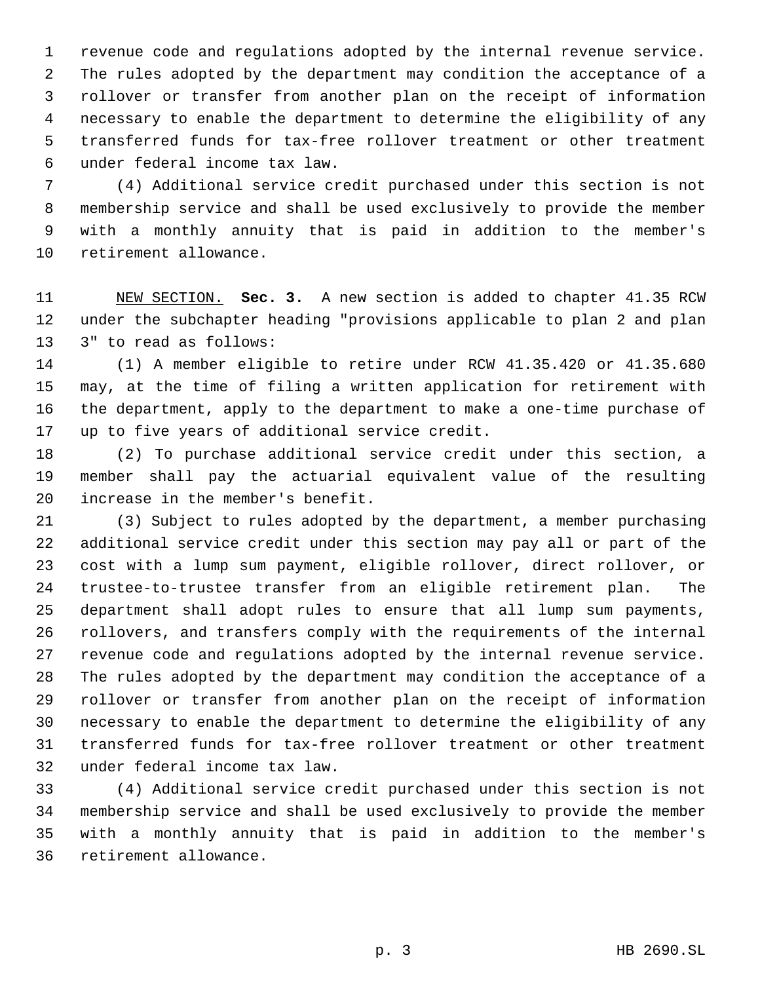revenue code and regulations adopted by the internal revenue service. The rules adopted by the department may condition the acceptance of a rollover or transfer from another plan on the receipt of information necessary to enable the department to determine the eligibility of any transferred funds for tax-free rollover treatment or other treatment under federal income tax law.

 (4) Additional service credit purchased under this section is not membership service and shall be used exclusively to provide the member with a monthly annuity that is paid in addition to the member's retirement allowance.

 NEW SECTION. **Sec. 3.** A new section is added to chapter 41.35 RCW under the subchapter heading "provisions applicable to plan 2 and plan 3" to read as follows:

 (1) A member eligible to retire under RCW 41.35.420 or 41.35.680 may, at the time of filing a written application for retirement with the department, apply to the department to make a one-time purchase of up to five years of additional service credit.

 (2) To purchase additional service credit under this section, a member shall pay the actuarial equivalent value of the resulting increase in the member's benefit.

 (3) Subject to rules adopted by the department, a member purchasing additional service credit under this section may pay all or part of the cost with a lump sum payment, eligible rollover, direct rollover, or trustee-to-trustee transfer from an eligible retirement plan. The department shall adopt rules to ensure that all lump sum payments, rollovers, and transfers comply with the requirements of the internal revenue code and regulations adopted by the internal revenue service. The rules adopted by the department may condition the acceptance of a rollover or transfer from another plan on the receipt of information necessary to enable the department to determine the eligibility of any transferred funds for tax-free rollover treatment or other treatment under federal income tax law.

 (4) Additional service credit purchased under this section is not membership service and shall be used exclusively to provide the member with a monthly annuity that is paid in addition to the member's retirement allowance.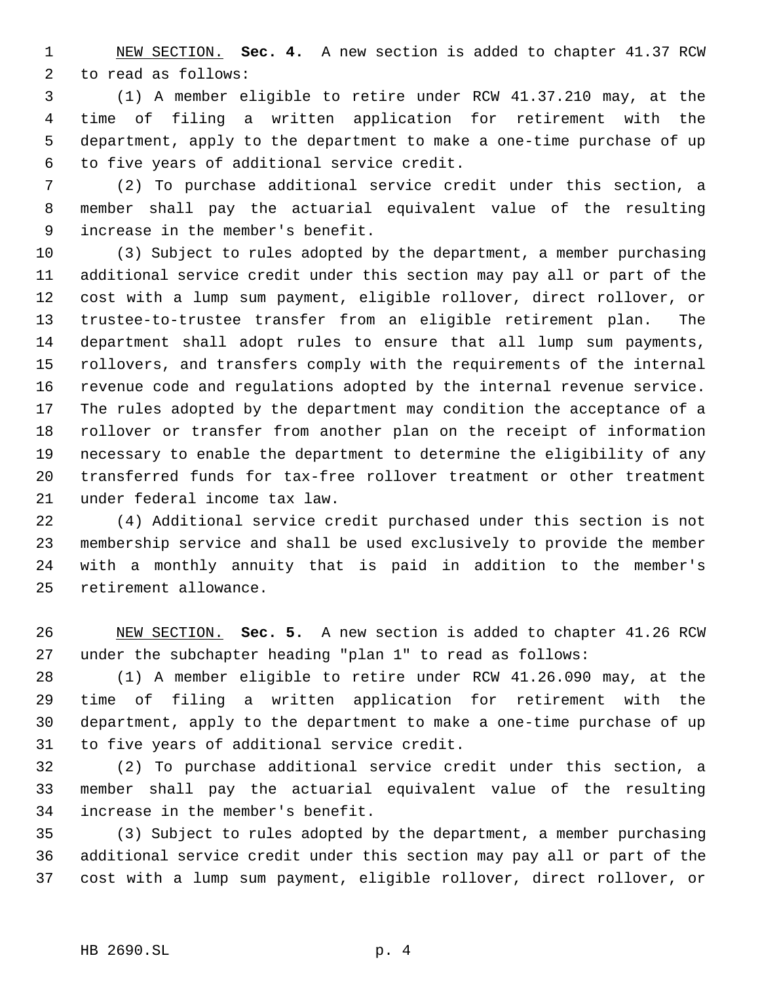NEW SECTION. **Sec. 4.** A new section is added to chapter 41.37 RCW to read as follows:

 (1) A member eligible to retire under RCW 41.37.210 may, at the time of filing a written application for retirement with the department, apply to the department to make a one-time purchase of up to five years of additional service credit.

 (2) To purchase additional service credit under this section, a member shall pay the actuarial equivalent value of the resulting increase in the member's benefit.

 (3) Subject to rules adopted by the department, a member purchasing additional service credit under this section may pay all or part of the cost with a lump sum payment, eligible rollover, direct rollover, or trustee-to-trustee transfer from an eligible retirement plan. The department shall adopt rules to ensure that all lump sum payments, rollovers, and transfers comply with the requirements of the internal revenue code and regulations adopted by the internal revenue service. The rules adopted by the department may condition the acceptance of a rollover or transfer from another plan on the receipt of information necessary to enable the department to determine the eligibility of any transferred funds for tax-free rollover treatment or other treatment under federal income tax law.

 (4) Additional service credit purchased under this section is not membership service and shall be used exclusively to provide the member with a monthly annuity that is paid in addition to the member's retirement allowance.

 NEW SECTION. **Sec. 5.** A new section is added to chapter 41.26 RCW under the subchapter heading "plan 1" to read as follows:

 (1) A member eligible to retire under RCW 41.26.090 may, at the time of filing a written application for retirement with the department, apply to the department to make a one-time purchase of up to five years of additional service credit.

 (2) To purchase additional service credit under this section, a member shall pay the actuarial equivalent value of the resulting increase in the member's benefit.

 (3) Subject to rules adopted by the department, a member purchasing additional service credit under this section may pay all or part of the cost with a lump sum payment, eligible rollover, direct rollover, or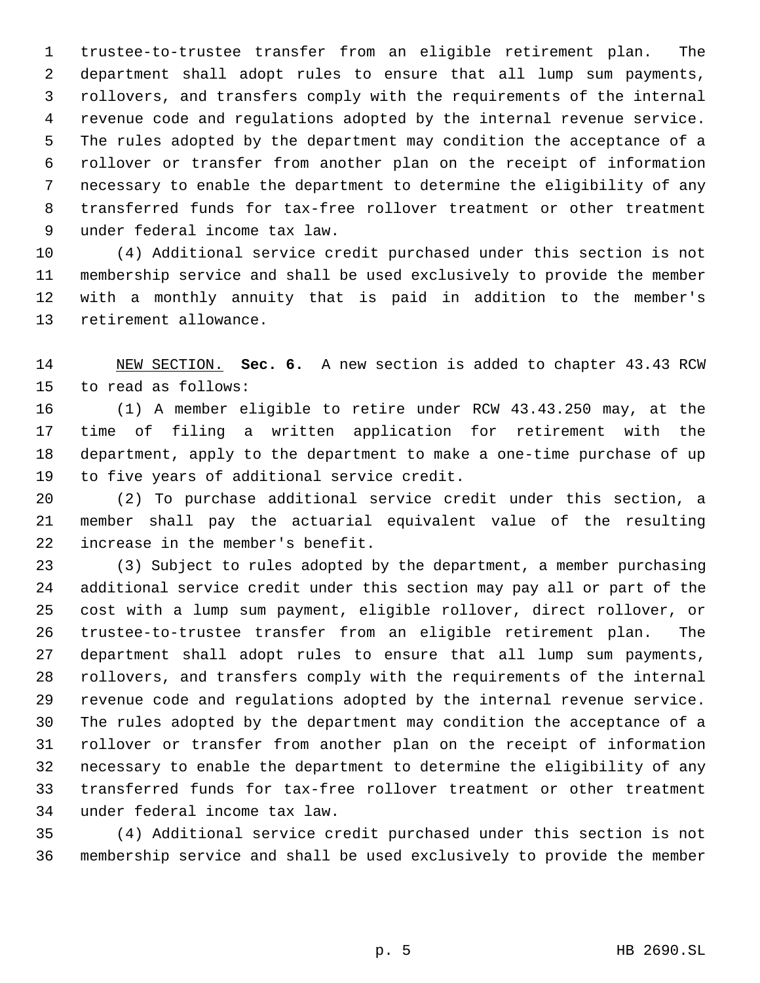trustee-to-trustee transfer from an eligible retirement plan. The department shall adopt rules to ensure that all lump sum payments, rollovers, and transfers comply with the requirements of the internal revenue code and regulations adopted by the internal revenue service. The rules adopted by the department may condition the acceptance of a rollover or transfer from another plan on the receipt of information necessary to enable the department to determine the eligibility of any transferred funds for tax-free rollover treatment or other treatment under federal income tax law.

 (4) Additional service credit purchased under this section is not membership service and shall be used exclusively to provide the member with a monthly annuity that is paid in addition to the member's retirement allowance.

 NEW SECTION. **Sec. 6.** A new section is added to chapter 43.43 RCW to read as follows:

 (1) A member eligible to retire under RCW 43.43.250 may, at the time of filing a written application for retirement with the department, apply to the department to make a one-time purchase of up to five years of additional service credit.

 (2) To purchase additional service credit under this section, a member shall pay the actuarial equivalent value of the resulting increase in the member's benefit.

 (3) Subject to rules adopted by the department, a member purchasing additional service credit under this section may pay all or part of the cost with a lump sum payment, eligible rollover, direct rollover, or trustee-to-trustee transfer from an eligible retirement plan. The department shall adopt rules to ensure that all lump sum payments, rollovers, and transfers comply with the requirements of the internal revenue code and regulations adopted by the internal revenue service. The rules adopted by the department may condition the acceptance of a rollover or transfer from another plan on the receipt of information necessary to enable the department to determine the eligibility of any transferred funds for tax-free rollover treatment or other treatment under federal income tax law.

 (4) Additional service credit purchased under this section is not membership service and shall be used exclusively to provide the member